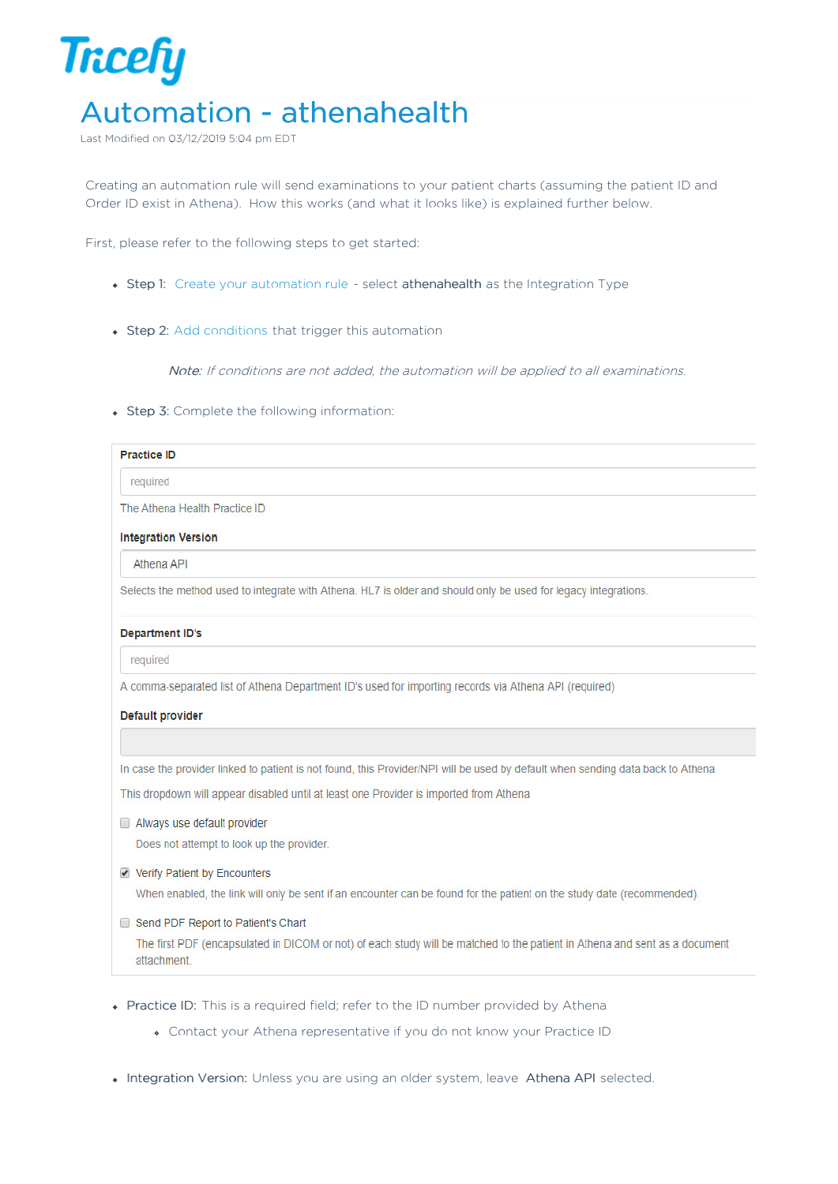

Last Modified on 03/12/2019 5:04 pm EDT

Creating an automation rule will send examinations to your patient charts (assuming the patient ID and Order ID exist in Athena). How this works (and what it looks like) is explained further below.

First, please refer to the following steps to get started:

- Step 1: Create your automation rule select athenahealth as the Integration Type
- Step 2: Add conditions that trigger this automation

Note: If conditions are not added, the automation will be applied to all examinations.

• Step 3: Complete the following information:

| <b>Practice ID</b>            |  |
|-------------------------------|--|
| required                      |  |
| The Athena Health Practice ID |  |

**Integration Version** 

Athena API

Selects the method used to integrate with Athena. HL7 is older and should only be used for legacy integrations.

## **Department ID's**

required

A comma-separated list of Athena Department ID's used for importing records via Athena API (required)

## **Default provider**

In case the provider linked to patient is not found, this Provider/NPI will be used by default when sending data back to Athena

This dropdown will appear disabled until at least one Provider is imported from Athena

Always use default provider

Does not attempt to look up the provider.

Verify Patient by Encounters

When enabled, the link will only be sent if an encounter can be found for the patient on the study date (recommended).

Send PDF Report to Patient's Chart

The first PDF (encapsulated in DICOM or not) of each study will be matched to the patient in Athena and sent as a document attachment.

- Practice ID: This is a required field; refer to the ID number provided by Athena
	- Contact your Athena representative if you do not know your Practice ID
- . Integration Version: Unless you are using an older system, leave Athena API selected.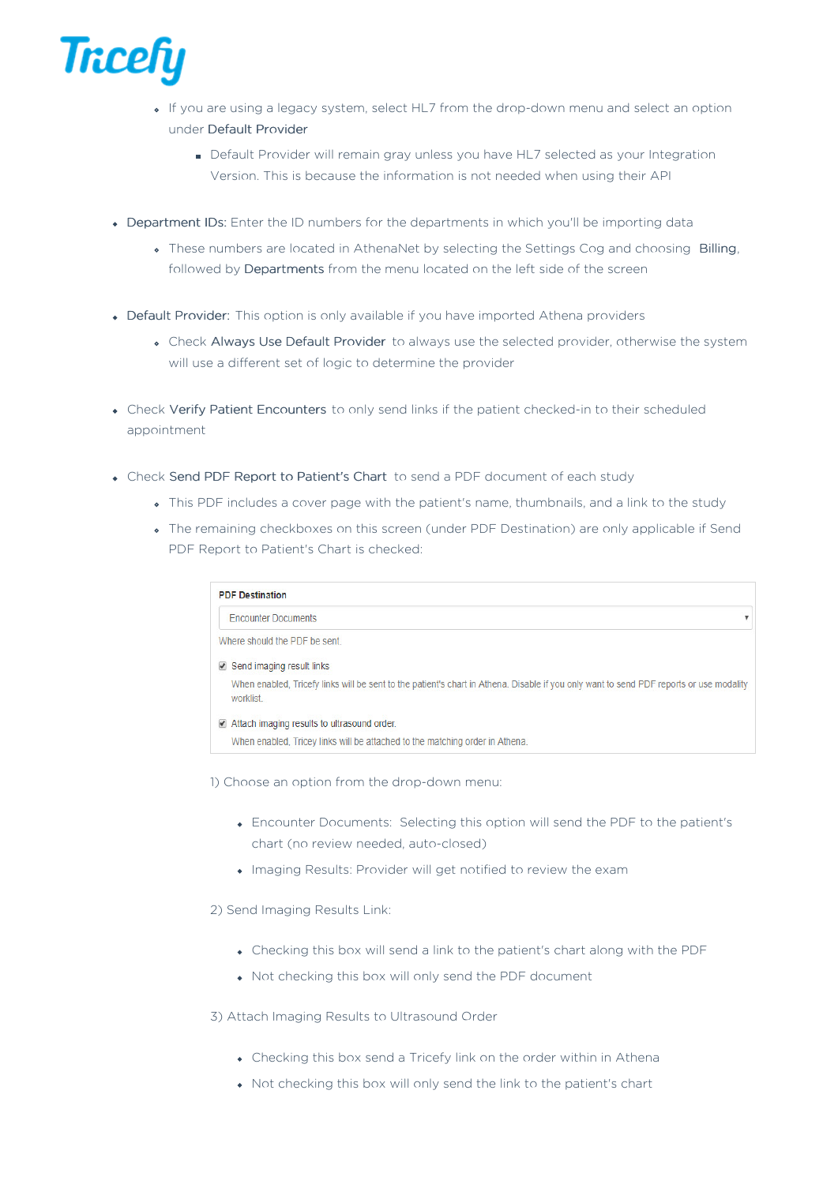

- If you are using a legacy system, select HL7 from the drop-down menu and select an option under Default Provider
	- Default Provider will remain gray unless you have HL7 selected as your Integration Version. This is because the information is not needed when using their API
- Department IDs: Enter the ID numbers for the departments in which you'll be importing data
	- These numbers are located in AthenaNet by selecting the Settings Cog and choosing Billing, followed by Departments from the menu located on the left side of the screen
- Default Provider: This option is only available if you have imported Athena providers
	- Check Always Use Default Provider to always use the selected provider, otherwise the system will use a different set of logic to determine the provider
- Check Verify Patient Encounters to only send links if the patient checked-in to their scheduled appointment
- Check Send PDF Report to Patient's Chart to send a PDF document of each study
	- This PDF includes a cover page with the patient's name, thumbnails, and a link to the study
	- The remaining checkboxes on this screen (under PDF Destination) are only applicable if Send PDF Report to Patient's Chart is checked:

| <b>PDF Destination</b>                                                                                                                              |   |
|-----------------------------------------------------------------------------------------------------------------------------------------------------|---|
| <b>Encounter Documents</b>                                                                                                                          | v |
| Where should the PDF be sent                                                                                                                        |   |
| $\triangledown$ Send imaging result links                                                                                                           |   |
| When enabled, Tricefy links will be sent to the patient's chart in Athena. Disable if you only want to send PDF reports or use modality<br>worklist |   |
| Attach imaging results to ultrasound order.                                                                                                         |   |

When enabled, Tricey links will be attached to the matching order in Athena.

1) Choose an option from the drop-down menu:

- Encounter Documents: Selecting this option will send the PDF to the patient's chart (no review needed, auto-closed)
- Imaging Results: Provider will get notified to review the exam

2) Send Imaging Results Link:

- Checking this box will send a link to the patient's chart along with the PDF
- Not checking this box will only send the PDF document

3) Attach Imaging Results to Ultrasound Order

- Checking this box send a Tricefy link on the order within in Athena
- Not checking this box will only send the link to the patient's chart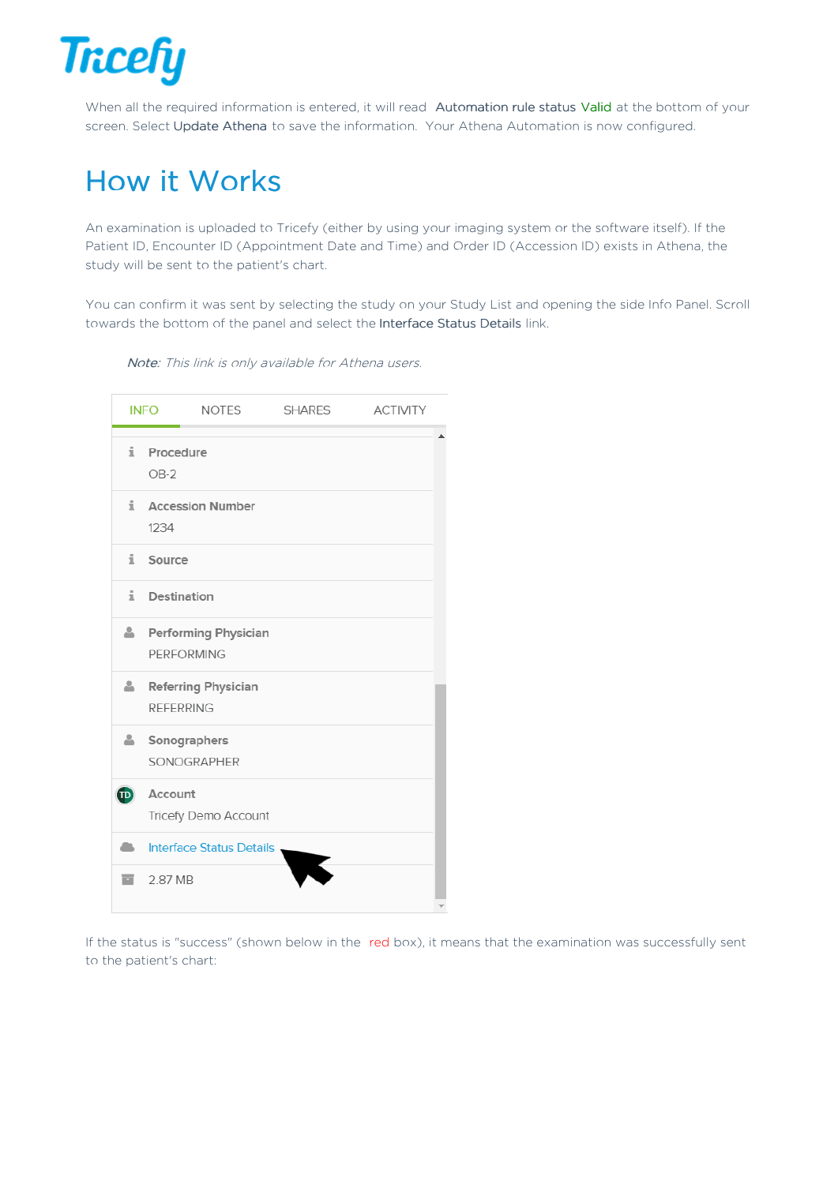

When all the required information is entered, it will read Automation rule status Valid at the bottom of your screen. Select Update Athena to save the information. Your Athena Automation is now configured.

## How it Works

An examination is uploaded to Tricefy (either by using your imaging system or the software itself). If the Patient ID, Encounter ID (Appointment Date and Time) and Order ID (Accession ID) exists in Athena, the study will be sent to the patient's chart.

You can confirm it was sent by selecting the study on your Study List and opening the side Info Panel. Scroll towards the bottom of the panel and select the Interface Status Details link.

Note: This link is only available for Athena users.

|     | <b>INFO</b>         | <b>NOTES</b>                | <b>SHARES</b> | <b>ACTIVITY</b> |  |
|-----|---------------------|-----------------------------|---------------|-----------------|--|
| i.  | Procedure<br>$OB-2$ |                             |               |                 |  |
| i   | 1234                | <b>Accession Number</b>     |               |                 |  |
| i.  | Source              |                             |               |                 |  |
| i.  | Destination         |                             |               |                 |  |
| Δ.  | <b>PERFORMING</b>   | <b>Performing Physician</b> |               |                 |  |
| 4   | <b>REFERRING</b>    | Referring Physician         |               |                 |  |
| 4   | Sonographers        | SONOGRAPHER                 |               |                 |  |
| (D) | Account             | Tricefy Demo Account        |               |                 |  |
| m.  |                     | Interface Status Details,   |               |                 |  |
| ▄   | 2.87 MB             |                             |               |                 |  |

If the status is "success" (shown below in the red box), it means that the examination was successfully sent to the patient's chart: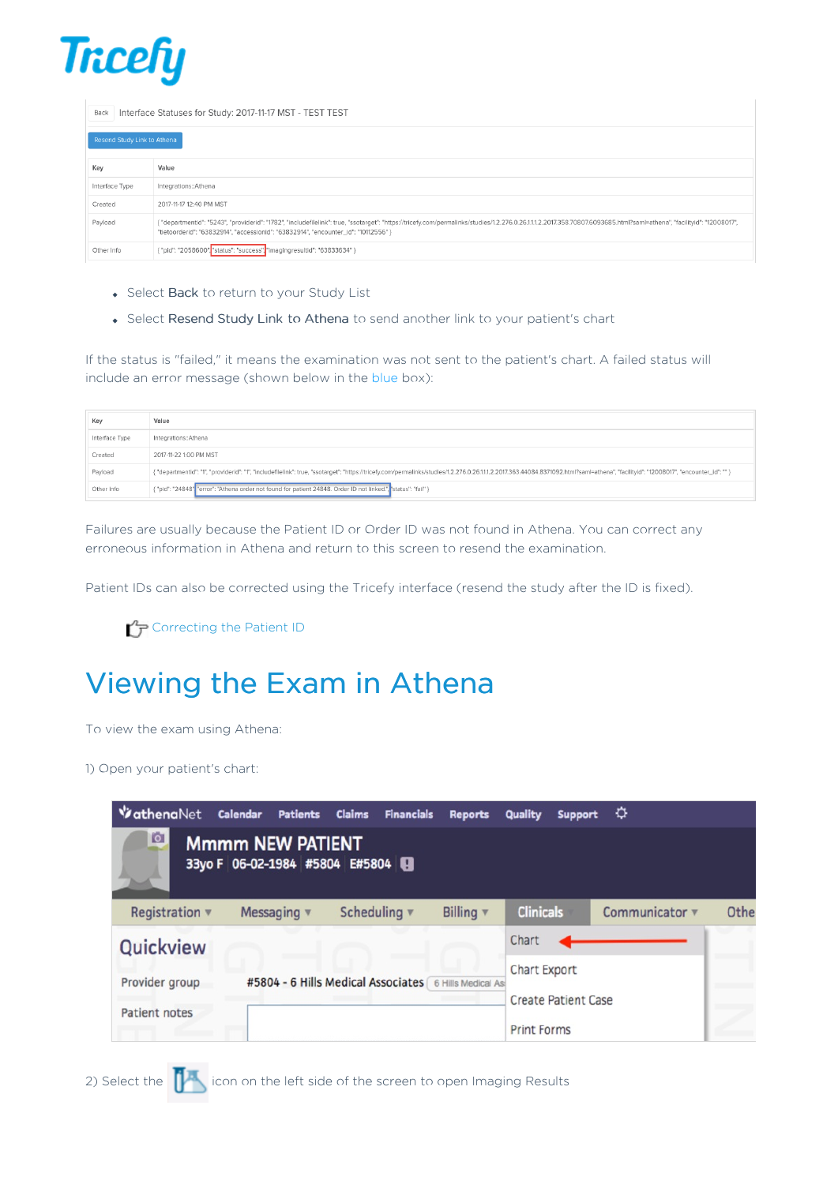

Back Interface Statuses for Study: 2017-11-17 MST - TEST TEST

| Resend Study Link to Athena            |                                                                                                                                                                                                                                                                                                              |  |  |  |
|----------------------------------------|--------------------------------------------------------------------------------------------------------------------------------------------------------------------------------------------------------------------------------------------------------------------------------------------------------------|--|--|--|
| Key                                    | Value                                                                                                                                                                                                                                                                                                        |  |  |  |
| Integrations::Athena<br>Interface Type |                                                                                                                                                                                                                                                                                                              |  |  |  |
| Created                                | 2017-11-17 12:40 PM MST                                                                                                                                                                                                                                                                                      |  |  |  |
| Payload                                | . "departmentid": "5243", "providerid": "1782", "includefilelink": true, "ssotarget": "https://tricefy.com/permalinks/studies/1.2.276.0.26.11.1.2.2017.358.70807.6093685.html?saml=athena", "facilityid": "12008017",<br>"tietoorderid": "63832914", "accessionid": "63832914", "encounter_id": "10112556" } |  |  |  |
| Other Info                             | { "pid": "2058600", "status": "success", "imagingresultid": "63833634" }                                                                                                                                                                                                                                     |  |  |  |

- Select Back to return to your Study List
- Select Resend Study Link to Athena to send another link to your patient's chart

If the status is "failed," it means the examination was not sent to the patient's chart. A failed status will include an error message (shown below in the blue box):

| Key            | Value                                                                                                                                                                                                                          |  |  |
|----------------|--------------------------------------------------------------------------------------------------------------------------------------------------------------------------------------------------------------------------------|--|--|
| Interface Type | Integrations::Athena                                                                                                                                                                                                           |  |  |
| Created        | 2017-11-22 1:00 PM MST                                                                                                                                                                                                         |  |  |
| Payload        | { "departmentid": "1", "providerid": "1", "includefilelink": true, "ssotarget": "https://tricefy.com/permalinks/studies/1.2.276.0.26.11.1.2.2017.363.44084.8371092.html?saml=athena", "facilityid": "12008017", "encounter_id" |  |  |
| Other Info     | { "pid": "24848" "error": "Athena order not found for patient 24848. Order ID not linked.", "status": "fail" }                                                                                                                 |  |  |

Failures are usually because the Patient ID or Order ID was not found in Athena. You can correct any erroneous information in Athena and return to this screen to resend the examination.

Patient IDs can also be corrected using the Tricefy interface (resend the study after the ID is fixed).

**Correcting the Patient ID** 

## Viewing the Exam in Athena

To view the exam using Athena:

1) Open your patient's chart:

| <b>VathenaNet</b>    | <b>Calendar</b><br><b>Patients</b>                        | <b>Claims</b><br><b>Financials</b>                    | <b>Reports</b> | <b>Quality</b><br>Support  | ≎              |      |
|----------------------|-----------------------------------------------------------|-------------------------------------------------------|----------------|----------------------------|----------------|------|
| <b>IGI</b>           | <b>Mmmm NEW PATIENT</b><br>33yo F 06-02-1984 #5804 E#5804 |                                                       |                |                            |                |      |
| Registration $\Psi$  | Messaging $\Psi$                                          | Scheduling v                                          | Billing $\Psi$ | <b>Clinicals</b>           | Communicator v | Othe |
| Quickview            |                                                           |                                                       |                | Chart                      |                |      |
| Provider group       |                                                           | #5804 - 6 Hills Medical Associates 6 Hills Medical As |                | Chart Export               |                |      |
| <b>Patient notes</b> |                                                           |                                                       |                | <b>Create Patient Case</b> |                |      |
|                      |                                                           |                                                       |                | <b>Print Forms</b>         |                |      |